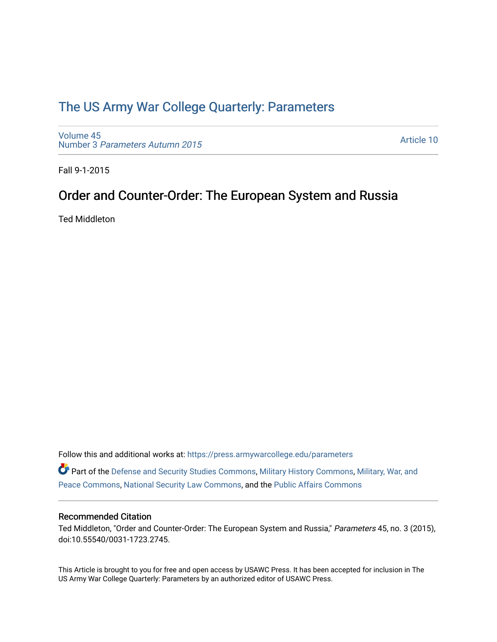# [The US Army War College Quarterly: Parameters](https://press.armywarcollege.edu/parameters)

[Volume 45](https://press.armywarcollege.edu/parameters/vol45) Number 3 [Parameters Autumn 2015](https://press.armywarcollege.edu/parameters/vol45/iss3)

[Article 10](https://press.armywarcollege.edu/parameters/vol45/iss3/10) 

Fall 9-1-2015

## Order and Counter-Order: The European System and Russia

Ted Middleton

Follow this and additional works at: [https://press.armywarcollege.edu/parameters](https://press.armywarcollege.edu/parameters?utm_source=press.armywarcollege.edu%2Fparameters%2Fvol45%2Fiss3%2F10&utm_medium=PDF&utm_campaign=PDFCoverPages) 

Part of the [Defense and Security Studies Commons](http://network.bepress.com/hgg/discipline/394?utm_source=press.armywarcollege.edu%2Fparameters%2Fvol45%2Fiss3%2F10&utm_medium=PDF&utm_campaign=PDFCoverPages), [Military History Commons,](http://network.bepress.com/hgg/discipline/504?utm_source=press.armywarcollege.edu%2Fparameters%2Fvol45%2Fiss3%2F10&utm_medium=PDF&utm_campaign=PDFCoverPages) [Military, War, and](http://network.bepress.com/hgg/discipline/861?utm_source=press.armywarcollege.edu%2Fparameters%2Fvol45%2Fiss3%2F10&utm_medium=PDF&utm_campaign=PDFCoverPages)  [Peace Commons](http://network.bepress.com/hgg/discipline/861?utm_source=press.armywarcollege.edu%2Fparameters%2Fvol45%2Fiss3%2F10&utm_medium=PDF&utm_campaign=PDFCoverPages), [National Security Law Commons,](http://network.bepress.com/hgg/discipline/1114?utm_source=press.armywarcollege.edu%2Fparameters%2Fvol45%2Fiss3%2F10&utm_medium=PDF&utm_campaign=PDFCoverPages) and the [Public Affairs Commons](http://network.bepress.com/hgg/discipline/399?utm_source=press.armywarcollege.edu%2Fparameters%2Fvol45%2Fiss3%2F10&utm_medium=PDF&utm_campaign=PDFCoverPages) 

### Recommended Citation

Ted Middleton, "Order and Counter-Order: The European System and Russia," Parameters 45, no. 3 (2015), doi:10.55540/0031-1723.2745.

This Article is brought to you for free and open access by USAWC Press. It has been accepted for inclusion in The US Army War College Quarterly: Parameters by an authorized editor of USAWC Press.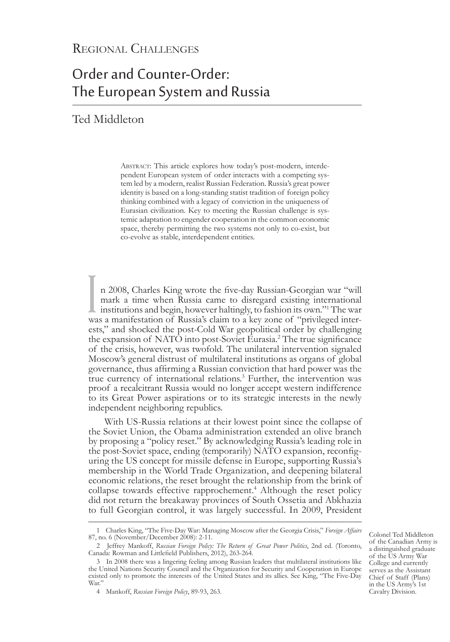# Order and Counter-Order: The European System and Russia

## Ted Middleton

Abstract: This article explores how today's post-modern, interdependent European system of order interacts with a competing system led by a modern, realist Russian Federation. Russia's great power identity is based on a long-standing statist tradition of foreign policy thinking combined with a legacy of conviction in the uniqueness of Eurasian civilization. Key to meeting the Russian challenge is systemic adaptation to engender cooperation in the common economic space, thereby permitting the two systems not only to co-exist, but co-evolve as stable, interdependent entities.

 $\prod_{\text{wa}}$ n 2008, Charles King wrote the five-day Russian-Georgian war "will mark a time when Russia came to disregard existing international institutions and begin, however haltingly, to fashion its own."1 The war was a manifestation of Russia's claim to a key zone of "privileged inter-<br>ests," and shocked the post-Cold War geopolitical order by challenging the expansion of NATO into post-Soviet Eurasia.<sup>2</sup> The true significance of the crisis, however, was twofold. The unilateral intervention signaled Moscow's general distrust of multilateral institutions as organs of global governance, thus affirming a Russian conviction that hard power was the true currency of international relations.3 Further, the intervention was proof a recalcitrant Russia would no longer accept western indifference to its Great Power aspirations or to its strategic interests in the newly independent neighboring republics.

With US-Russia relations at their lowest point since the collapse of the Soviet Union, the Obama administration extended an olive branch by proposing a "policy reset." By acknowledging Russia's leading role in the post-Soviet space, ending (temporarily) NATO expansion, reconfiguring the US concept for missile defense in Europe, supporting Russia's membership in the World Trade Organization, and deepening bilateral economic relations, the reset brought the relationship from the brink of collapse towards effective rapprochement.<sup>4</sup> Although the reset policy did not return the breakaway provinces of South Ossetia and Abkhazia to full Georgian control, it was largely successful. In 2009, President

Colonel Ted Middleton of the Canadian Army is a distinguished graduate of the US Army War College and currently serves as the Assistant Chief of Staff (Plans) in the US Army's 1st Cavalry Division.

<sup>1</sup> Charles King, "The Five-Day War: Managing Moscow after the Georgia Crisis," *Foreign Affairs* 87, no. 6 (November/December 2008): 2-11.

<sup>2</sup> Jeffrey Mankoff, *Russian Foreign Policy: The Return of Great Power Politics*, 2nd ed. (Toronto, Canada: Rowman and Littlefield Publishers, 2012), 263-264.

<sup>3</sup> In 2008 there was a lingering feeling among Russian leaders that multilateral institutions like the United Nations Security Council and the Organization for Security and Cooperation in Europe existed only to promote the interests of the United States and its allies. See King, "The Five-Day War.'

<sup>4</sup> Mankoff, *Russian Foreign Policy*, 89-93, 263.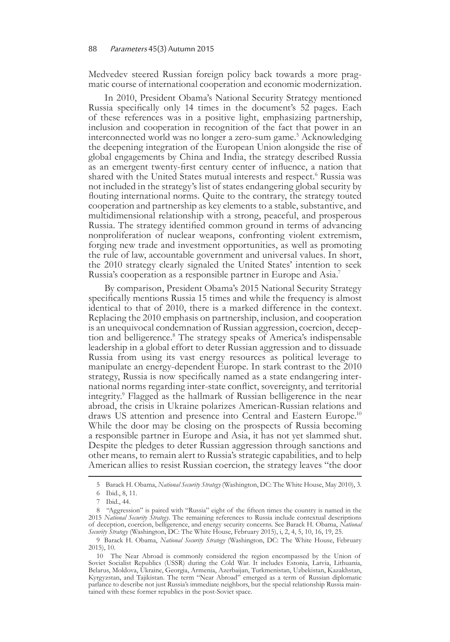Medvedev steered Russian foreign policy back towards a more prag- matic course of international cooperation and economic modernization.

In 2010, President Obama's National Security Strategy mentioned Russia specifically only 14 times in the document's 52 pages. Each of these references was in a positive light, emphasizing partnership, inclusion and cooperation in recognition of the fact that power in an interconnected world was no longer a zero-sum game.<sup>5</sup> Acknowledging the deepening integration of the European Union alongside the rise of global engagements by China and India, the strategy described Russia as an emergent twenty-first century center of influence, a nation that shared with the United States mutual interests and respect.<sup>6</sup> Russia was not included in the strategy's list of states endangering global security by flouting international norms. Quite to the contrary, the strategy touted cooperation and partnership as key elements to a stable, substantive, and multidimensional relationship with a strong, peaceful, and prosperous Russia. The strategy identified common ground in terms of advancing nonproliferation of nuclear weapons, confronting violent extremism, forging new trade and investment opportunities, as well as promoting the rule of law, accountable government and universal values. In short, the 2010 strategy clearly signaled the United States' intention to seek Russia's cooperation as a responsible partner in Europe and Asia.7

By comparison, President Obama's 2015 National Security Strategy specifically mentions Russia 15 times and while the frequency is almost identical to that of 2010, there is a marked difference in the context. Replacing the 2010 emphasis on partnership, inclusion, and cooperation is an unequivocal condemnation of Russian aggression, coercion, deception and belligerence.8 The strategy speaks of America's indispensable leadership in a global effort to deter Russian aggression and to dissuade Russia from using its vast energy resources as political leverage to manipulate an energy-dependent Europe. In stark contrast to the 2010 strategy, Russia is now specifically named as a state endangering international norms regarding inter-state conflict, sovereignty, and territorial integrity.<sup>9</sup> Flagged as the hallmark of Russian belligerence in the near abroad, the crisis in Ukraine polarizes American-Russian relations and draws US attention and presence into Central and Eastern Europe.<sup>10</sup> While the door may be closing on the prospects of Russia becoming a responsible partner in Europe and Asia, it has not yet slammed shut. Despite the pledges to deter Russian aggression through sanctions and other means, to remain alert to Russia's strategic capabilities, and to help American allies to resist Russian coercion, the strategy leaves "the door

<sup>5</sup> Barack H. Obama, *National Security Strategy* (Washington, DC: The White House, May 2010), 3.

<sup>6</sup> Ibid., 8, 11.

<sup>7</sup> Ibid., 44.

<sup>8      &</sup>quot;Aggression" is paired with "Russia" eight of the fifteen times the country is named in the 2015 *National Security Strategy*. The remaining references to Russia include contextual descriptions of deception, coercion, belligerence, and energy security concerns. See Barack H. Obama, *National Security Strategy* (Washington, DC: The White House, February 2015), i, 2, 4, 5, 10, 16, 19, 25.

<sup>9</sup>Barack H. Obama, *National Security Strategy* (Washington, DC: The White House, February 2015), 10.

<sup>10</sup> The Near Abroad is commonly considered the region encompassed by the Union of Soviet Socialist Republics (USSR) during the Cold War. It includes Estonia, Latvia, Lithuania, Belarus, Moldova, Ukraine, Georgia, Armenia, Azerbaijan, Turkmenistan, Uzbekistan, Kazakhstan, Kyrgyzstan, and Tajikistan. The term "Near Abroad" emerged as a term of Russian diplomatic parlance to describe not just Russia's immediate neighbors, but the special relationship Russia maintained with these former republics in the post-Soviet space.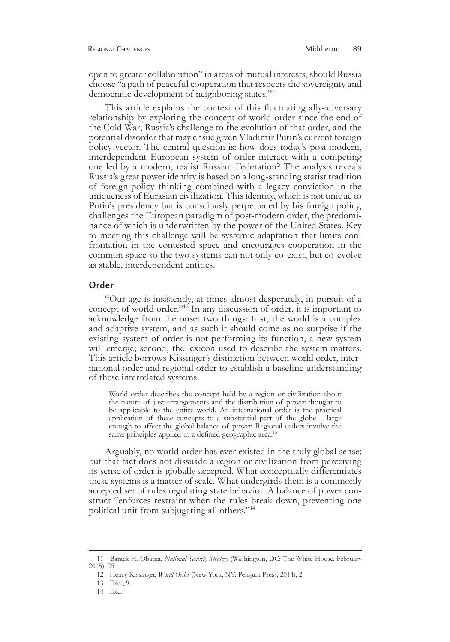open to greater collaboration" in areas of mutual interests, should Russia choose "a path of peaceful cooperation that respects the sovereignty and democratic development of neighboring states."<sup>11</sup>

This article explains the context of this fluctuating ally-adversary relationship by exploring the concept of world order since the end of the Cold War, Russia's challenge to the evolution of that order, and the potential disorder that may ensue given Vladimir Putin's current foreign policy vector. The central question is: how does today's post-modern, interdependent European system of order interact with a competing one led by a modern, realist Russian Federation? The analysis reveals Russia's great power identity is based on a long-standing statist tradition of foreign-policy thinking combined with a legacy conviction in the uniqueness of Eurasian civilization. This identity, which is not unique to Putin's presidency but is consciously perpetuated by his foreign policy, challenges the European paradigm of post-modern order, the predomi- nance of which is underwritten by the power of the United States. Key to meeting this challenge will be systemic adaptation that limits con- frontation in the contested space and encourages cooperation in the common space so the two systems can not only co-exist, but co-evolve as stable, interdependent entities.

#### **Order**

"Our age is insistently, at times almost desperately, in pursuit of a concept of world order."12 In any discussion of order, it is important to acknowledge from the onset two things: first, the world is a complex and adaptive system, and as such it should come as no surprise if the existing system of order is not performing its function, a new system will emerge; second, the lexicon used to describe the system matters. This article borrows Kissinger's distinction between world order, international order and regional order to establish a baseline understanding of these interrelated systems.

World order describes the concept held by a region or civilization about the nature of just arrangements and the distribution of power thought to be applicable to the entire world. An international order is the practical application of these concepts to a substantial part of the globe – large enough to affect the global balance of power. Regional orders involve the same principles applied to a defined geographic area.<sup>13</sup>

Arguably, no world order has ever existed in the truly global sense; but that fact does not dissuade a region or civilization from perceiving its sense of order is globally accepted. What conceptually differentiates these systems is a matter of scale. What undergirds them is a commonly accepted set of rules regulating state behavior. A balance of power con- struct "enforces restraint when the rules break down, preventing one political unit from subjugating all others."<sup>14</sup>

<sup>11</sup> Barack H. Obama, *National Security Strategy* (Washington, DC: The White House, February 2015), 25.

<sup>12</sup> Henry Kissinger, *World Order* (New York, NY: Penguin Press, 2014), 2.

<sup>13</sup> Ibid., 9.

<sup>14</sup> Ibid.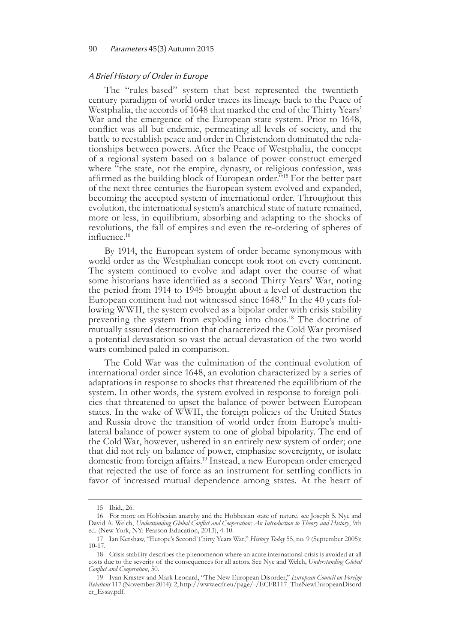#### 90 Parameters 45(3) Autumn 2015

#### A Brief History of Order in Europe

The "rules-based" system that best represented the twentiethcentury paradigm of world order traces its lineage back to the Peace of Westphalia, the accords of 1648 that marked the end of the Thirty Years' War and the emergence of the European state system. Prior to 1648, conflict was all but endemic, permeating all levels of society, and the battle to reestablish peace and order in Christendom dominated the relationships between powers. After the Peace of Westphalia, the concept of a regional system based on a balance of power construct emerged where "the state, not the empire, dynasty, or religious confession, was affirmed as the building block of European order.<sup>515</sup> For the better part of the next three centuries the European system evolved and expanded, becoming the accepted system of international order. Throughout this evolution, the international system's anarchical state of nature remained, more or less, in equilibrium, absorbing and adapting to the shocks of revolutions, the fall of empires and even the re-ordering of spheres of influence.16

By 1914, the European system of order became synonymous with world order as the Westphalian concept took root on every continent. The system continued to evolve and adapt over the course of what some historians have identified as a second Thirty Years' War, noting the period from 1914 to 1945 brought about a level of destruction the European continent had not witnessed since 1648.<sup>17</sup> In the 40 years fol-<br>lowing WWII, the system evolved as a bipolar order with crisis stability preventing the system from exploding into chaos.18 The doctrine of mutually assured destruction that characterized the Cold War promised a potential devastation so vast the actual devastation of the two world wars combined paled in comparison.

The Cold War was the culmination of the continual evolution of international order since 1648, an evolution characterized by a series of adaptations in response to shocks that threatened the equilibrium of the system. In other words, the system evolved in response to foreign poli- cies that threatened to upset the balance of power between European states. In the wake of WWII, the foreign policies of the United States and Russia drove the transition of world order from Europe's multi- lateral balance of power system to one of global bipolarity. The end of the Cold War, however, ushered in an entirely new system of order; one that did not rely on balance of power, emphasize sovereignty, or isolate domestic from foreign affairs.<sup>19</sup> Instead, a new European order emerged that rejected the use of force as an instrument for settling conflicts in favor of increased mutual dependence among states. At the heart of

<sup>15</sup> Ibid., 26.

<sup>16</sup> For more on Hobbesian anarchy and the Hobbesian state of nature, see Joseph S. Nye and David A. Welch, *Understanding Global Conflict and Cooperation: An Introduction to Theory and History*, 9th ed. (New York, NY: Pearson Education, 2013), 4-10.

<sup>17</sup> Ian Kershaw, "Europe's Second Thirty Years War," *History Today* 55, no. 9 (September 2005): 10-17.

<sup>18</sup> Crisis stability describes the phenomenon where an acute international crisis is avoided at all costs due to the severity of the consequences for all actors. See Nye and Welch, *Understanding Global Conflict and Cooperation*, 50.

<sup>19</sup> Ivan Krastev and Mark Leonard, "The New European Disorder," *European Council on Foreign Relations* 117 (November 2014): 2, http://www.ecfr.eu/page/-/ECFR117\_TheNewEuropeanDisord er\_Essay.pdf.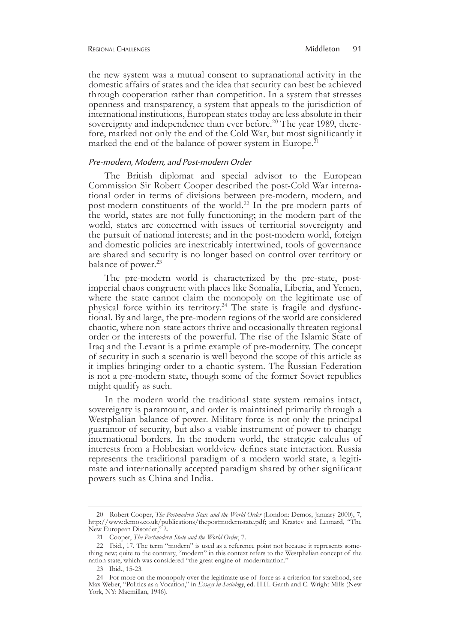the new system was a mutual consent to supranational activity in the domestic affairs of states and the idea that security can best be achieved through cooperation rather than competition. In a system that stresses openness and transparency, a system that appeals to the jurisdiction of international institutions, European states today are less absolute in their sovereignty and independence than ever before.<sup>20</sup> The year 1989, therefore, marked not only the end of the Cold War, but most significantly it marked the end of the balance of power system in Europe.<sup>21</sup>

#### Pre-modern, Modern, and Post-modern Order

The British diplomat and special advisor to the European Commission Sir Robert Cooper described the post-Cold War interna- tional order in terms of divisions between pre-modern, modern, and post-modern constituents of the world.<sup>22</sup> In the pre-modern parts of the world, states are not fully functioning; in the modern part of the world, states are concerned with issues of territorial sovereignty and the pursuit of national interests; and in the post-modern world, foreign and domestic policies are inextricably intertwined, tools of governance are shared and security is no longer based on control over territory or balance of power.<sup>23</sup>

The pre-modern world is characterized by the pre-state, postimperial chaos congruent with places like Somalia, Liberia, and Yemen, where the state cannot claim the monopoly on the legitimate use of physical force within its territory.<sup>24</sup> The state is fragile and dysfunctional. By and large, the pre-modern regions of the world are considered chaotic, where non-state actors thrive and occasionally threaten regional order or the interests of the powerful. The rise of the Islamic State of Iraq and the Levant is a prime example of pre-modernity. The concept of security in such a scenario is well beyond the scope of this article as it implies bringing order to a chaotic system. The Russian Federation is not a pre-modern state, though some of the former Soviet republics might qualify as such.

In the modern world the traditional state system remains intact, sovereignty is paramount, and order is maintained primarily through a Westphalian balance of power. Military force is not only the principal guarantor of security, but also a viable instrument of power to change international borders. In the modern world, the strategic calculus of interests from a Hobbesian worldview defines state interaction. Russia represents the traditional paradigm of a modern world state, a legitimate and internationally accepted paradigm shared by other significant powers such as China and India.

<sup>20</sup> Robert Cooper, *The Postmodern State and the World Order* (London: Demos, January 2000), 7, http://www.demos.co.uk/publications/thepostmodernstate.pdf; and Krastev and Leonard, "The New European Disorder," 2.

<sup>21</sup> Cooper, *The Postmodern State and the World Order*, 7.

<sup>22</sup> Ibid., 17. The term "modern" is used as a reference point not because it represents something new; quite to the contrary, "modern" in this context refers to the Westphalian concept of the nation state, which was considered "the great engine of modernization."

<sup>23</sup> Ibid., 15-23.

<sup>24</sup> For more on the monopoly over the legitimate use of force as a criterion for statehood, see Max Weber, "Politics as a Vocation," in *Essays in Sociology*, ed. H.H. Garth and C. Wright Mills (New York, NY: Macmillan, 1946).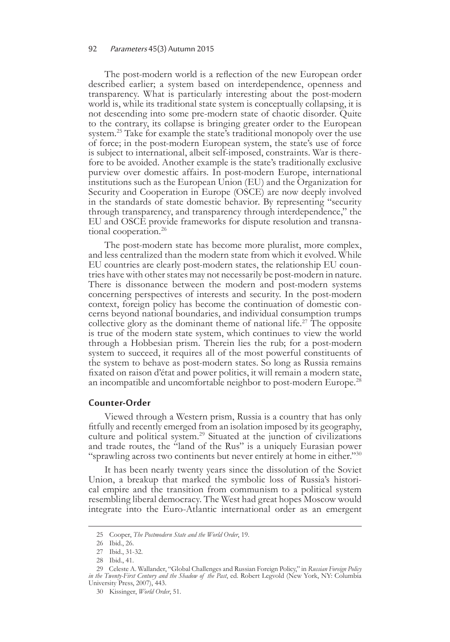#### 92 Parameters 45(3) Autumn 2015

The post-modern world is a reflection of the new European order described earlier; a system based on interdependence, openness and transparency. What is particularly interesting about the post-modern world is, while its traditional state system is conceptually collapsing, it is not descending into some pre-modern state of chaotic disorder. Quite to the contrary, its collapse is bringing greater order to the European system.<sup>25</sup> Take for example the state's traditional monopoly over the use of force; in the post-modern European system, the state's use of force is subject to international, albeit self-imposed, constraints. War is there- fore to be avoided. Another example is the state's traditionally exclusive purview over domestic affairs. In post-modern Europe, international institutions such as the European Union (EU) and the Organization for Security and Cooperation in Europe (OSCE) are now deeply involved in the standards of state domestic behavior. By representing "security through transparency, and transparency through interdependence," the EU and OSCE provide frameworks for dispute resolution and transnational cooperation.<sup>26</sup>

The post-modern state has become more pluralist, more complex, and less centralized than the modern state from which it evolved. While EU countries are clearly post-modern states, the relationship EU coun- tries have with other states may not necessarily be post-modern in nature. There is dissonance between the modern and post-modern systems concerning perspectives of interests and security. In the post-modern context, foreign policy has become the continuation of domestic con- cerns beyond national boundaries, and individual consumption trumps collective glory as the dominant theme of national life.<sup>27</sup> The opposite is true of the modern state system, which continues to view the world through a Hobbesian prism. Therein lies the rub; for a post-modern system to succeed, it requires all of the most powerful constituents of the system to behave as post-modern states. So long as Russia remains fixated on raison d'état and power politics, it will remain a modern state, an incompatible and uncomfortable neighbor to post-modern Europe.<sup>28</sup>

#### **Counter-Order**

Viewed through a Western prism, Russia is a country that has only fitfully and recently emerged from an isolation imposed by its geography, culture and political system.29 Situated at the junction of civilizations and trade routes, the "land of the Rus" is a uniquely Eurasian power "sprawling across two continents but never entirely at home in either."<sup>30</sup>

It has been nearly twenty years since the dissolution of the Soviet Union, a breakup that marked the symbolic loss of Russia's histori- cal empire and the transition from communism to a political system resembling liberal democracy. The West had great hopes Moscow would integrate into the Euro-Atlantic international order as an emergent

<sup>25</sup> Cooper, *The Postmodern State and the World Order*, 19.

<sup>26</sup> Ibid., 26.

<sup>27</sup> Ibid., 31-32.

<sup>28</sup> Ibid., 41.

<sup>29</sup> Celeste A. Wallander, "Global Challenges and Russian Foreign Policy," in *Russian Foreign Policy in the Twenty-First Century and the Shadow of the Past*, ed. Robert Legvold (New York, NY: Columbia University Press, 2007), 443.

<sup>30</sup> Kissinger, *World Order*, 51.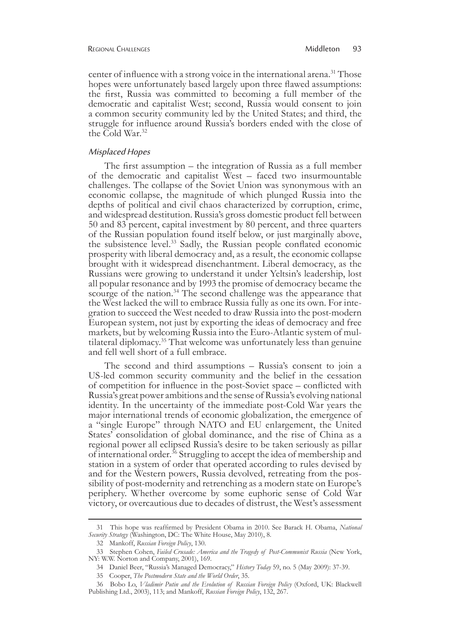center of influence with a strong voice in the international arena.<sup>31</sup> Those hopes were unfortunately based largely upon three flawed assumptions: the first, Russia was committed to becoming a full member of the democratic and capitalist West; second, Russia would consent to join a common security community led by the United States; and third, the struggle for influence around Russia's borders ended with the close of the Cold War.<sup>32</sup>

#### Misplaced Hopes

The first assumption – the integration of Russia as a full member of the democratic and capitalist West – faced two insurmountable challenges. The collapse of the Soviet Union was synonymous with an economic collapse, the magnitude of which plunged Russia into the depths of political and civil chaos characterized by corruption, crime, and widespread destitution. Russia's gross domestic product fell between 50 and 83 percent, capital investment by 80 percent, and three quarters of the Russian population found itself below, or just marginally above, the subsistence level.<sup>33</sup> Sadly, the Russian people conflated economic prosperity with liberal democracy and, as a result, the economic collapse brought with it widespread disenchantment. Liberal democracy, as the Russians were growing to understand it under Yeltsin's leadership, lost all popular resonance and by 1993 the promise of democracy became the scourge of the nation.<sup>34</sup> The second challenge was the appearance that the West lacked the will to embrace Russia fully as one its own. For integration to succeed the West needed to draw Russia into the post-modern European system, not just by exporting the ideas of democracy and free markets, but by welcoming Russia into the Euro-Atlantic system of multilateral diplomacy.<sup>35</sup> That welcome was unfortunately less than genuine and fell well short of a full embrace.

The second and third assumptions – Russia's consent to join a US-led common security community and the belief in the cessation of competition for influence in the post-Soviet space – conflicted with Russia's great power ambitions and the sense of Russia's evolving national identity. In the uncertainty of the immediate post-Cold War years the major international trends of economic globalization, the emergence of a "single Europe" through NATO and EU enlargement, the United States' consolidation of global dominance, and the rise of China as a regional power all eclipsed Russia's desire to be taken seriously as pillar of international order.<sup>36</sup> Struggling to accept the idea of membership and station in a system of order that operated according to rules devised by and for the Western powers, Russia devolved, retreating from the possibility of post-modernity and retrenching as a modern state on Europe's periphery. Whether overcome by some euphoric sense of Cold War victory, or overcautious due to decades of distrust, the West's assessment

<sup>31</sup> This hope was reaffirmed by President Obama in 2010. See Barack H. Obama, *National Security Strategy* (Washington, DC: The White House, May 2010), 8.

<sup>32</sup> Mankoff, *Russian Foreign Policy*, 130.

<sup>33</sup> Stephen Cohen, *Failed Crusade: America and the Tragedy of Post-Communist Russia* (New York, NY: W.W. Norton and Company, 2001), 169.

<sup>34</sup> Daniel Beer, "Russia's Managed Democracy," *History Today* 59, no. 5 (May 2009): 37-39.

<sup>35</sup> Cooper, *The Postmodern State and the World Order*, 35.

<sup>36</sup> Bobo Lo, *Vladimir Putin and the Evolution of Russian Foreign Policy* (Oxford, UK: Blackwell Publishing Ltd., 2003), 113; and Mankoff, *Russian Foreign Policy*, 132, 267.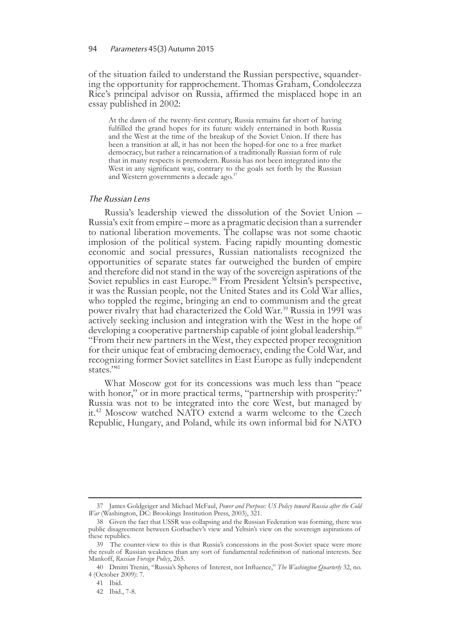of the situation failed to understand the Russian perspective, squander- ing the opportunity for rapprochement. Thomas Graham, Condoleezza Rice's principal advisor on Russia, affirmed the misplaced hope in an essay published in 2002:

At the dawn of the twenty-first century, Russia remains far short of having fulfilled the grand hopes for its future widely entertained in both Russia and the West at the time of the breakup of the Soviet Union. If there has been a transition at all, it has not been the hoped-for one to a free market democracy, but rather a reincarnation of a traditionally Russian form of rule that in many respects is premodern. Russia has not been integrated into the West in any significant way, contrary to the goals set forth by the Russian and Western governments a decade ago.<sup>37</sup>

#### The Russian Lens

Russia's leadership viewed the dissolution of the Soviet Union – Russia's exit from empire – more as a pragmatic decision than a surrender to national liberation movements. The collapse was not some chaotic implosion of the political system. Facing rapidly mounting domestic economic and social pressures, Russian nationalists recognized the opportunities of separate states far outweighed the burden of empire and therefore did not stand in the way of the sovereign aspirations of the Soviet republics in east Europe.<sup>38</sup> From President Yeltsin's perspective, it was the Russian people, not the United States and its Cold War allies, who toppled the regime, bringing an end to communism and the great power rivalry that had characterized the Cold War.<sup>39</sup> Russia in 1991 was actively seeking inclusion and integration with the West in the hope of developing a cooperative partnership capable of joint global leadership.<sup>40</sup> "From their new partners in the West, they expected proper recognition for their unique feat of embracing democracy, ending the Cold War, and recognizing former Soviet satellites in East Europe as fully independent states."<sup>41</sup>

What Moscow got for its concessions was much less than "peace with honor," or in more practical terms, "partnership with prosperity:" Russia was not to be integrated into the core West, but managed by it.42 Moscow watched NATO extend a warm welcome to the Czech Republic, Hungary, and Poland, while its own informal bid for NATO

<sup>37</sup> James Goldgeiger and Michael McFaul, *Power and Purpose: US Policy toward Russia after the Cold War* (Washington, DC: Brookings Institution Press, 2003), 321.

<sup>38</sup> Given the fact that USSR was collapsing and the Russian Federation was forming, there was public disagreement between Gorbachev's view and Yeltsin's view on the sovereign aspirations of these republics.

<sup>39</sup> The counter-view to this is that Russia's concessions in the post-Soviet space were more the result of Russian weakness than any sort of fundamental redefinition of national interests. See Mankoff, *Russian Foreign Policy*, 265.

<sup>40</sup> Dmitri Trenin, "Russia's Spheres of Interest, not Influence," *The Washington Quarterly* 32, no. 4 (October 2009): 7.

<sup>41</sup> Ibid.

<sup>42</sup> Ibid., 7-8.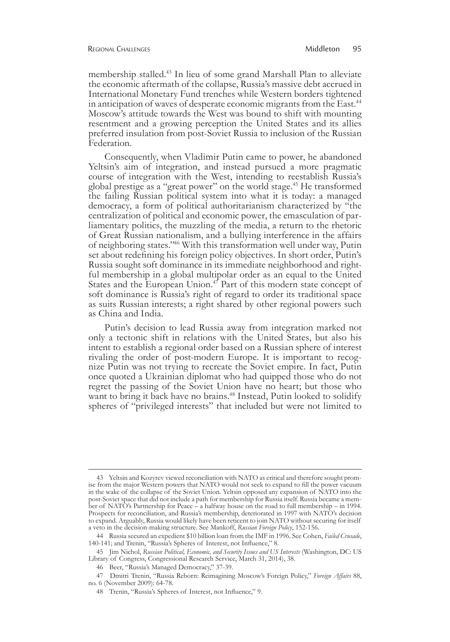membership stalled.43 In lieu of some grand Marshall Plan to alleviate the economic aftermath of the collapse, Russia's massive debt accrued in International Monetary Fund trenches while Western borders tightened in anticipation of waves of desperate economic migrants from the East.<sup>44</sup> Moscow's attitude towards the West was bound to shift with mounting resentment and a growing perception the United States and its allies preferred insulation from post-Soviet Russia to inclusion of the Russian Federation.

Consequently, when Vladimir Putin came to power, he abandoned Yeltsin's aim of integration, and instead pursued a more pragmatic course of integration with the West, intending to reestablish Russia's global prestige as a "great power" on the world stage.45 He transformed the failing Russian political system into what it is today: a managed democracy, a form of political authoritarianism characterized by "the centralization of political and economic power, the emasculation of par- liamentary politics, the muzzling of the media, a return to the rhetoric of Great Russian nationalism, and a bullying interference in the affairs of neighboring states."46 With this transformation well under way, Putin set about redefining his foreign policy objectives. In short order, Putin's Russia sought soft dominance in its immediate neighborhood and right- ful membership in a global multipolar order as an equal to the United States and the European Union.<sup>47</sup> Part of this modern state concept of soft dominance is Russia's right of regard to order its traditional space as suits Russian interests; a right shared by other regional powers such as China and India.

Putin's decision to lead Russia away from integration marked not only a tectonic shift in relations with the United States, but also his intent to establish a regional order based on a Russian sphere of interest rivaling the order of post-modern Europe. It is important to recognize Putin was not trying to recreate the Soviet empire. In fact, Putin once quoted a Ukrainian diplomat who had quipped those who do not regret the passing of the Soviet Union have no heart; but those who want to bring it back have no brains.<sup>48</sup> Instead, Putin looked to solidify spheres of "privileged interests" that included but were not limited to

<sup>43</sup> Yeltsin and Kozyrev viewed reconciliation with NATO as critical and therefore sought promise from the major Western powers that NATO would not seek to expand to fill the power vacuum in the wake of the collapse of the Soviet Union. Yeltsin opposed any expansion of NATO into the post-Soviet space that did not include a path for membership for Russia itself. Russia became a member of NATO's Partnership for Peace – a halfway house on the road to full membership – in 1994. Prospects for reconciliation, and Russia's membership, deteriorated in 1997 with NATO's decision to expand. Arguably, Russia would likely have been reticent to join NATO without securing for itself a veto in the decision-making structure. See Mankoff, *Russian Foreign Policy*, 152-156.

<sup>44</sup> Russia secured an expedient \$10 billion loan from the IMF in 1996. See Cohen, *Failed Crusade*, 140-141; and Trenin, "Russia's Spheres of Interest, not Influence," 8.

<sup>45</sup> Jim Nichol, *Russian Political, Economic, and Security Issues and US Interests* (Washington, DC: US Library of Congress, Congressional Research Service, March 31, 2014), 38.

<sup>46</sup> Beer, "Russia's Managed Democracy," 37-39.

<sup>47</sup> Dmitri Trenin, "Russia Reborn: Reimagining Moscow's Foreign Policy," *Foreign Affairs* 88, no. 6 (November 2009): 64-78.

<sup>48</sup> Trenin, "Russia's Spheres of Interest, not Influence," 9.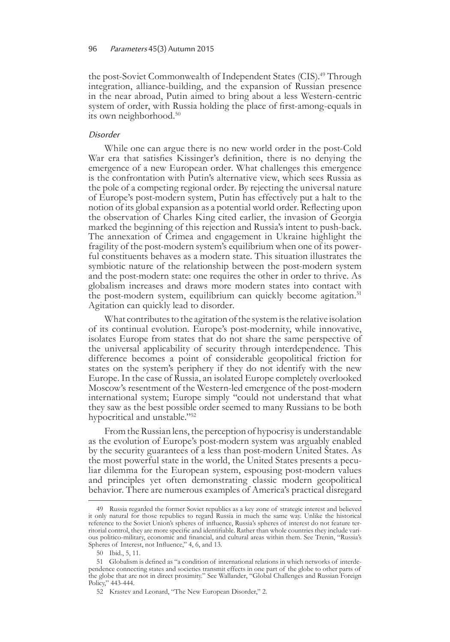the post-Soviet Commonwealth of Independent States (CIS).<sup>49</sup> Through integration, alliance-building, and the expansion of Russian presence in the near abroad, Putin aimed to bring about a less Western-centric system of order, with Russia holding the place of first-among-equals in its own neighborhood.<sup>50</sup>

#### Disorder

While one can argue there is no new world order in the post-Cold War era that satisfies Kissinger's definition, there is no denying the emergence of a new European order. What challenges this emergence is the confrontation with Putin's alternative view, which sees Russia as the pole of a competing regional order. By rejecting the universal nature of Europe's post-modern system, Putin has effectively put a halt to the notion of its global expansion as a potential world order. Reflecting upon the observation of Charles King cited earlier, the invasion of Georgia marked the beginning of this rejection and Russia's intent to push-back. The annexation of Crimea and engagement in Ukraine highlight the fragility of the post-modern system's equilibrium when one of its power- ful constituents behaves as a modern state. This situation illustrates the symbiotic nature of the relationship between the post-modern system and the post-modern state: one requires the other in order to thrive. As globalism increases and draws more modern states into contact with the post-modern system, equilibrium can quickly become agitation.<sup>51</sup> Agitation can quickly lead to disorder.

What contributes to the agitation of the system is the relative isolation of its continual evolution. Europe's post-modernity, while innovative, isolates Europe from states that do not share the same perspective of the universal applicability of security through interdependence. This difference becomes a point of considerable geopolitical friction for states on the system's periphery if they do not identify with the new Europe. In the case of Russia, an isolated Europe completely overlooked Moscow's resentment of the Western-led emergence of the post-modern international system; Europe simply "could not understand that what they saw as the best possible order seemed to many Russians to be both hypocritical and unstable."<sup>52</sup>

From the Russian lens, the perception of hypocrisy is understandable as the evolution of Europe's post-modern system was arguably enabled by the security guarantees of a less than post-modern United States. As the most powerful state in the world, the United States presents a peculiar dilemma for the European system, espousing post-modern values and principles yet often demonstrating classic modern geopolitical behavior. There are numerous examples of America's practical disregard

<sup>49</sup> Russia regarded the former Soviet republics as a key zone of strategic interest and believed it only natural for those republics to regard Russia in much the same way. Unlike the historical reference to the Soviet Union's spheres of influence, Russia's spheres of interest do not feature territorial control, they are more specific and identifiable. Rather than whole countries they include various politico-military, economic and financial, and cultural areas within them. See Trenin, "Russia's Spheres of Interest, not Influence," 4, 6, and 13.

<sup>50</sup> Ibid., 5, 11.

<sup>51</sup> Globalism is defined as "a condition of international relations in which networks of interdependence connecting states and societies transmit effects in one part of the globe to other parts of the globe that are not in direct proximity." See Wallander, "Global Challenges and Russian Foreign Policy," 443-444.

<sup>52</sup> Krastev and Leonard, "The New European Disorder," 2.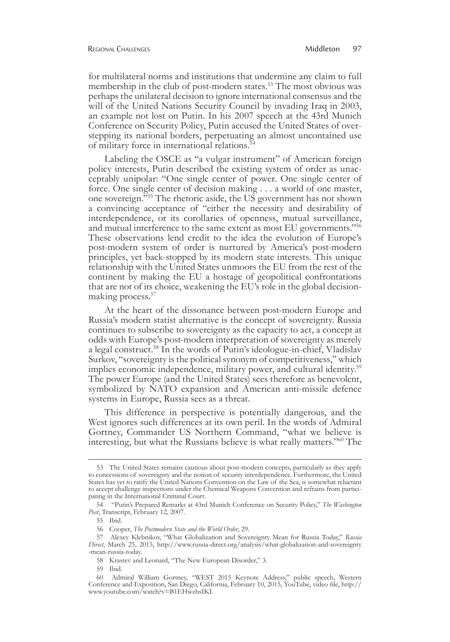for multilateral norms and institutions that undermine any claim to full membership in the club of post-modern states.<sup>53</sup> The most obvious was perhaps the unilateral decision to ignore international consensus and the will of the United Nations Security Council by invading Iraq in 2003, an example not lost on Putin. In his 2007 speech at the 43rd Munich Conference on Security Policy, Putin accused the United States of overstepping its national borders, perpetuating an almost uncontained use of military force in international relations.<sup>5</sup>

Labeling the OSCE as "a vulgar instrument" of American foreign policy interests, Putin described the existing system of order as unacceptably unipolar: "One single center of power. One single center of force. One single center of decision making . . . a world of one master, one sovereign.<sup>555</sup> The rhetoric aside, the US government has not shown a convincing acceptance of "either the necessity and desirability of interdependence, or its corollaries of openness, mutual surveillance, and mutual interference to the same extent as most EU governments."<sup>56</sup> These observations lend credit to the idea the evolution of Europe's post-modern system of order is nurtured by America's post-modern principles, yet back-stopped by its modern state interests. This unique relationship with the United States unmoors the EU from the rest of the continent by making the EU a hostage of geopolitical confrontations that are not of its choice, weakening the EU's role in the global decisionmaking process.<sup>57</sup>

At the heart of the dissonance between post-modern Europe and Russia's modern statist alternative is the concept of sovereignty. Russia continues to subscribe to sovereignty as the capacity to act, a concept at odds with Europe's post-modern interpretation of sovereignty as merely a legal construct.58 In the words of Putin's ideologue-in-chief, Vladislav Surkov, "sovereignty is the political synonym of competitiveness," which implies economic independence, military power, and cultural identity.<sup>59</sup> The power Europe (and the United States) sees therefore as benevolent, symbolized by NATO expansion and American anti-missile defence systems in Europe, Russia sees as a threat.

This difference in perspective is potentially dangerous, and the West ignores such differences at its own peril. In the words of Admiral Gortney, Commander US Northern Command, "what we believe is interesting, but what the Russians believe is what really matters."60 The

<sup>53</sup> The United States remains cautious about post-modern concepts, particularly as they apply to concessions of sovereignty and the notion of security interdependence. Furthermore, the United States has yet to ratify the United Nations Convention on the Law of the Sea, is somewhat reluctant to accept challenge inspections under the Chemical Weapons Convention and refrains from participating in the International Criminal Court.

<sup>54      &</sup>quot;Putin's Prepared Remarks at 43rd Munich Conference on Security Policy," *The Washington Post*, Transcript, February 12, 2007.

<sup>55</sup> Ibid.

<sup>56</sup> Cooper, *The Postmodern State and the World Order*, 29.

<sup>57</sup> Alexey Klebnikov, "What Globalization and Sovereignty Mean for Russia Today," *Russia Direct*, March 25, 2015, http://www.russia-direct.org/analysis/what-globalization-and-sovereignty -mean-russia-today.

<sup>58</sup> Krastev and Leonard, "The New European Disorder," 3.

<sup>59</sup> Ibid.

<sup>60</sup> Admiral William Gortney, "WEST 2015 Keynote Address," public speech, Western Conference and Exposition, San Diego, California, February 10, 2015, YouTube, video file, http:// www.youtube.com/watch?v=B1EHwzbsIKI.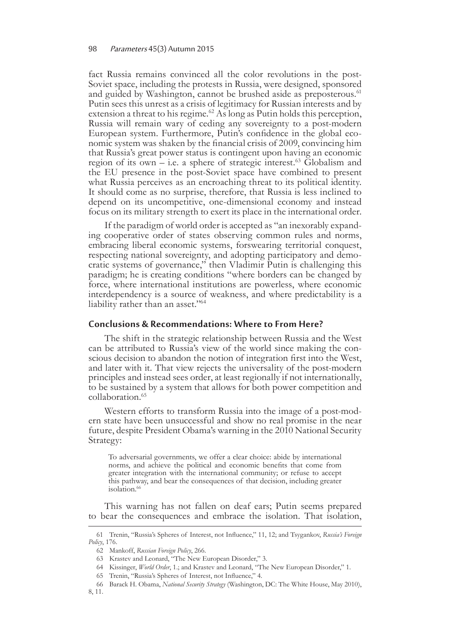fact Russia remains convinced all the color revolutions in the post-Soviet space, including the protests in Russia, were designed, sponsored and guided by Washington, cannot be brushed aside as preposterous.<sup>61</sup> Putin sees this unrest as a crisis of legitimacy for Russian interests and by extension a threat to his regime.<sup>62</sup> As long as Putin holds this perception, Russia will remain wary of ceding any sovereignty to a post-modern European system. Furthermore, Putin's confidence in the global eco- nomic system was shaken by the financial crisis of 2009, convincing him that Russia's great power status is contingent upon having an economic region of its own – i.e. a sphere of strategic interest.<sup>63</sup> Globalism and the EU presence in the post-Soviet space have combined to present what Russia perceives as an encroaching threat to its political identity. It should come as no surprise, therefore, that Russia is less inclined to depend on its uncompetitive, one-dimensional economy and instead focus on its military strength to exert its place in the international order.

If the paradigm of world order is accepted as "an inexorably expand- ing cooperative order of states observing common rules and norms, embracing liberal economic systems, forswearing territorial conquest, respecting national sovereignty, and adopting participatory and demo-<br>cratic systems of governance," then Vladimir Putin is challenging this paradigm; he is creating conditions "where borders can be changed by force, where international institutions are powerless, where economic interdependency is a source of weakness, and where predictability is a liability rather than an asset."64

#### **Conclusions & Recommendations: Where to From Here?**

The shift in the strategic relationship between Russia and the West can be attributed to Russia's view of the world since making the conscious decision to abandon the notion of integration first into the West, and later with it. That view rejects the universality of the post-modern principles and instead sees order, at least regionally if not internationally, to be sustained by a system that allows for both power competition and collaboration.<sup>65</sup>

Western efforts to transform Russia into the image of a post-mod- ern state have been unsuccessful and show no real promise in the near future, despite President Obama's warning in the 2010 National Security Strategy:

To adversarial governments, we offer a clear choice: abide by international norms, and achieve the political and economic benefits that come from greater integration with the international community; or refuse to accept this pathway, and bear the consequences of that decision, including greater isolation.<sup>66</sup>

This warning has not fallen on deaf ears; Putin seems prepared to bear the consequences and embrace the isolation. That isolation,

<sup>61</sup> Trenin, "Russia's Spheres of Interest, not Influence," 11, 12; and Tsygankov, *Russia's Foreign Policy*, 176.

<sup>62</sup> Mankoff, *Russian Foreign Policy*, 266.

<sup>63</sup> Krastev and Leonard, "The New European Disorder," 3.

<sup>64</sup> Kissinger, *World Order*, 1.; and Krastev and Leonard, "The New European Disorder," 1.

<sup>65</sup> Trenin, "Russia's Spheres of Interest, not Influence," 4.

<sup>66</sup> Barack H. Obama, *National Security Strategy* (Washington, DC: The White House, May 2010),

<sup>8, 11.</sup>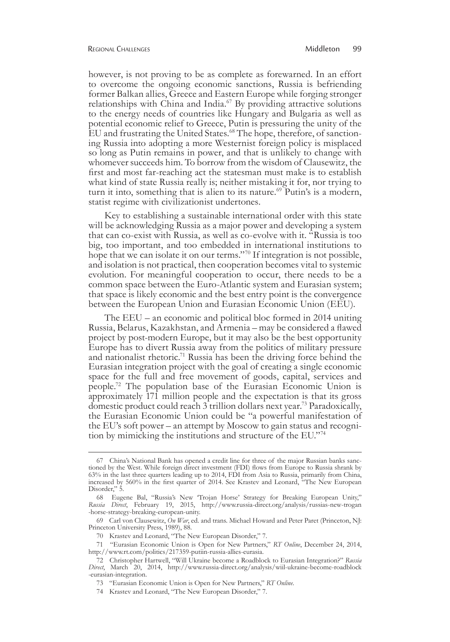however, is not proving to be as complete as forewarned. In an effort to overcome the ongoing economic sanctions, Russia is befriending former Balkan allies, Greece and Eastern Europe while forging stronger relationships with China and India.<sup>67</sup> By providing attractive solutions to the energy needs of countries like Hungary and Bulgaria as well as potential economic relief to Greece, Putin is pressuring the unity of the EU and frustrating the United States.<sup>68</sup> The hope, therefore, of sanction-<br>ing Russia into adopting a more Westernist foreign policy is misplaced so long as Putin remains in power, and that is unlikely to change with whomever succeeds him. To borrow from the wisdom of Clausewitz, the first and most far-reaching act the statesman must make is to establish what kind of state Russia really is; neither mistaking it for, nor trying to turn it into, something that is alien to its nature.<sup>69</sup> Putin's is a modern, statist regime with civilizationist undertones.

Key to establishing a sustainable international order with this state will be acknowledging Russia as a major power and developing a system that can co-exist with Russia, as well as co-evolve with it. "Russia is too big, too important, and too embedded in international institutions to hope that we can isolate it on our terms."<sup>70</sup> If integration is not possible, and isolation is not practical, then cooperation becomes vital to systemic evolution. For meaningful cooperation to occur, there needs to be a common space between the Euro-Atlantic system and Eurasian system; that space is likely economic and the best entry point is the convergence between the European Union and Eurasian Economic Union (EEU).

The EEU – an economic and political bloc formed in 2014 uniting Russia, Belarus, Kazakhstan, and Armenia – may be considered a flawed project by post-modern Europe, but it may also be the best opportunity Europe has to divert Russia away from the politics of military pressure and nationalist rhetoric.71 Russia has been the driving force behind the Eurasian integration project with the goal of creating a single economic space for the full and free movement of goods, capital, services and people.72 The population base of the Eurasian Economic Union is approximately 171 million people and the expectation is that its gross domestic product could reach 3 trillion dollars next year.73 Paradoxically, the Eurasian Economic Union could be "a powerful manifestation of the EU's soft power – an attempt by Moscow to gain status and recogni- tion by mimicking the institutions and structure of the EU."74

<sup>67</sup> China's National Bank has opened a credit line for three of the major Russian banks sanctioned by the West. While foreign direct investment (FDI) flows from Europe to Russia shrank by 63% in the last three quarters leading up to 2014, FDI from Asia to Russia, primarily from China, increased by 560% in the first quarter of 2014. See Krastev and Leonard, "The New European Disorder," 5.

<sup>68</sup> Eugene Bal, "Russia's New 'Trojan Horse' Strategy for Breaking European Unity," *Russia Direct*, February 19, 2015, http://www.russia-direct.org/analysis/russias-new-trogan -horse-strategy-breaking-european-unity.

<sup>69</sup> Carl von Clausewitz, *On War*, ed. and trans. Michael Howard and Peter Paret (Princeton, NJ: Princeton University Press, 1989), 88.

<sup>70</sup> Krastev and Leonard, "The New European Disorder," 7.

<sup>71      &</sup>quot;Eurasian Economic Union is Open for New Partners," *RT Online*, December 24, 2014, http://www.rt.com/politics/217359-putiin-russia-allies-eurasia.

<sup>72</sup> Christopher Hartwell, "Will Ukraine become a Roadblock to Eurasian Integration?" *Russia Direct*, March 20, 2014, http://www.russia-direct.org/analysis/wiil-ukraine-become-roadblock -eurasian-integration.

<sup>73      &</sup>quot;Eurasian Economic Union is Open for New Partners," *RT Online*.

<sup>74</sup> Krastev and Leonard, "The New European Disorder," 7.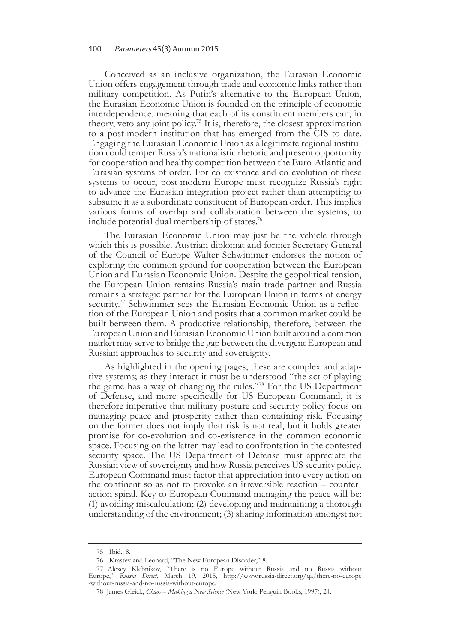Conceived as an inclusive organization, the Eurasian Economic Union offers engagement through trade and economic links rather than military competition. As Putin's alternative to the European Union, the Eurasian Economic Union is founded on the principle of economic interdependence, meaning that each of its constituent members can, in theory, veto any joint policy.75 It is, therefore, the closest approximation to a post-modern institution that has emerged from the CIS to date. Engaging the Eurasian Economic Union as a legitimate regional institu- tion could temper Russia's nationalistic rhetoric and present opportunity for cooperation and healthy competition between the Euro-Atlantic and Eurasian systems of order. For co-existence and co-evolution of these systems to occur, post-modern Europe must recognize Russia's right to advance the Eurasian integration project rather than attempting to subsume it as a subordinate constituent of European order. This implies various forms of overlap and collaboration between the systems, to include potential dual membership of states. $76$ 

The Eurasian Economic Union may just be the vehicle through which this is possible. Austrian diplomat and former Secretary General of the Council of Europe Walter Schwimmer endorses the notion of exploring the common ground for cooperation between the European Union and Eurasian Economic Union. Despite the geopolitical tension, the European Union remains Russia's main trade partner and Russia remains a strategic partner for the European Union in terms of energy security.<sup>77</sup> Schwimmer sees the Eurasian Economic Union as a reflection of the European Union and posits that a common market could be built between them. A productive relationship, therefore, between the European Union and Eurasian Economic Union built around a common market may serve to bridge the gap between the divergent European and Russian approaches to security and sovereignty.

As highlighted in the opening pages, these are complex and adaptive systems; as they interact it must be understood "the act of playing the game has a way of changing the rules."78 For the US Department of Defense, and more specifically for US European Command, it is therefore imperative that military posture and security policy focus on managing peace and prosperity rather than containing risk. Focusing on the former does not imply that risk is not real, but it holds greater promise for co-evolution and co-existence in the common economic space. Focusing on the latter may lead to confrontation in the contested security space. The US Department of Defense must appreciate the Russian view of sovereignty and how Russia perceives US security policy. European Command must factor that appreciation into every action on the continent so as not to provoke an irreversible reaction – counteraction spiral. Key to European Command managing the peace will be: (1) avoiding miscalculation; (2) developing and maintaining a thorough understanding of the environment; (3) sharing information amongst not

<sup>75</sup> Ibid., 8.

<sup>76</sup> Krastev and Leonard, "The New European Disorder," 8.

<sup>77</sup>Alexey Klebnikov, "There is no Europe without Russia and no Russia without Europe," *Russia Direct*, March 19, 2015, http://www.russia-direct.org/qa/there-no-europe -without-russia-and-no-russia-without-europe.

<sup>78</sup>James Gleick, *Chaos – Making a New Science* (New York: Penguin Books, 1997), 24.